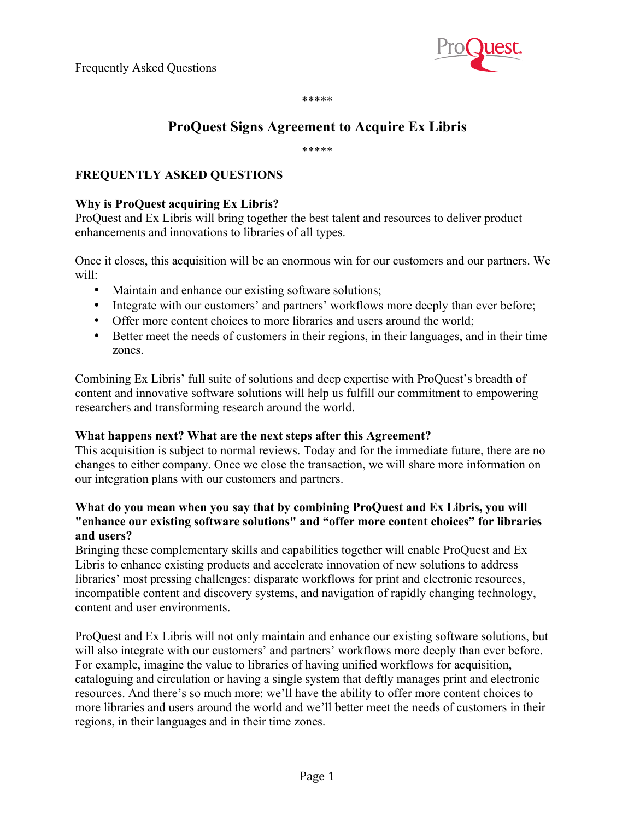

\*\*\*\*\*

# **ProQuest Signs Agreement to Acquire Ex Libris**

\*\*\*\*\*

# **FREQUENTLY ASKED QUESTIONS**

# **Why is ProQuest acquiring Ex Libris?**

ProQuest and Ex Libris will bring together the best talent and resources to deliver product enhancements and innovations to libraries of all types.

Once it closes, this acquisition will be an enormous win for our customers and our partners. We will:

- Maintain and enhance our existing software solutions;
- Integrate with our customers' and partners' workflows more deeply than ever before;
- Offer more content choices to more libraries and users around the world;
- Better meet the needs of customers in their regions, in their languages, and in their time zones.

Combining Ex Libris' full suite of solutions and deep expertise with ProQuest's breadth of content and innovative software solutions will help us fulfill our commitment to empowering researchers and transforming research around the world.

#### **What happens next? What are the next steps after this Agreement?**

This acquisition is subject to normal reviews. Today and for the immediate future, there are no changes to either company. Once we close the transaction, we will share more information on our integration plans with our customers and partners.

# **What do you mean when you say that by combining ProQuest and Ex Libris, you will "enhance our existing software solutions" and "offer more content choices" for libraries and users?**

Bringing these complementary skills and capabilities together will enable ProQuest and Ex Libris to enhance existing products and accelerate innovation of new solutions to address libraries' most pressing challenges: disparate workflows for print and electronic resources, incompatible content and discovery systems, and navigation of rapidly changing technology, content and user environments.

ProQuest and Ex Libris will not only maintain and enhance our existing software solutions, but will also integrate with our customers' and partners' workflows more deeply than ever before. For example, imagine the value to libraries of having unified workflows for acquisition, cataloguing and circulation or having a single system that deftly manages print and electronic resources. And there's so much more: we'll have the ability to offer more content choices to more libraries and users around the world and we'll better meet the needs of customers in their regions, in their languages and in their time zones.